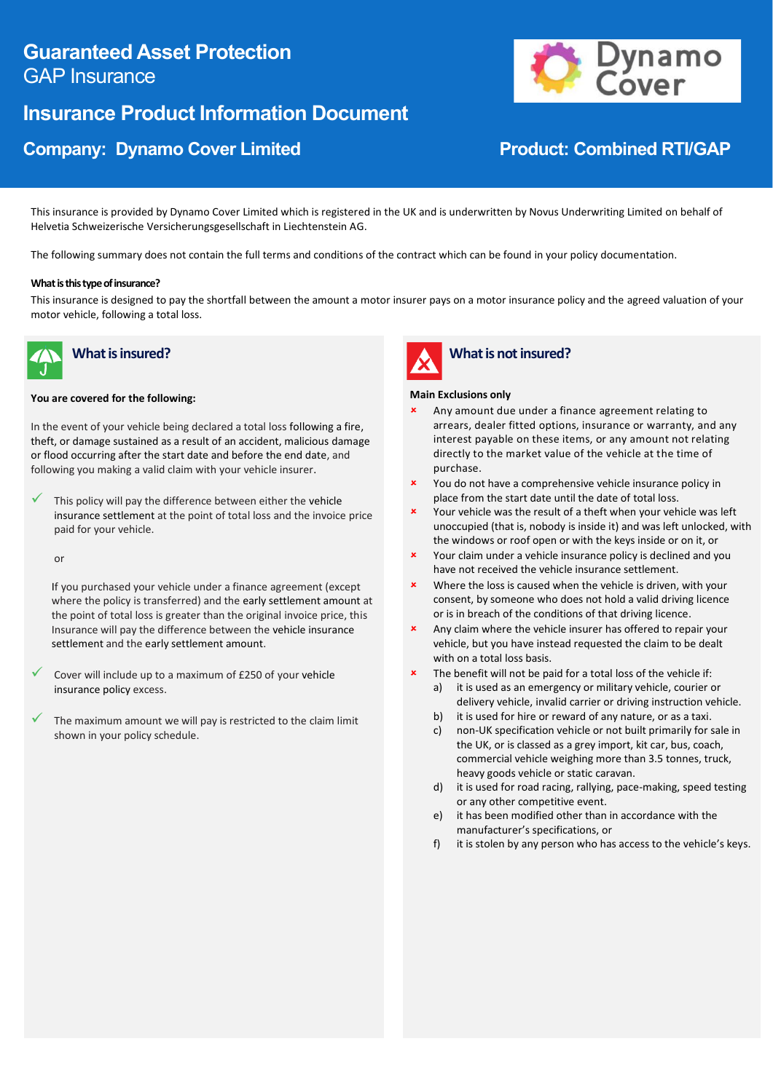# **Guaranteed Asset Protection** GAP Insurance

# **Insurance Product Information Document**

# **Company: Dynamo Cover Limited Company: Dynamo Cover Limited RTI/GAP**



This insurance is provided by Dynamo Cover Limited which is registered in the UK and is underwritten by Novus Underwriting Limited on behalf of Helvetia Schweizerische Versicherungsgesellschaft in Liechtenstein AG.

The following summary does not contain the full terms and conditions of the contract which can be found in your policy documentation.

### **What is this type of insurance?**

This insurance is designed to pay the shortfall between the amount a motor insurer pays on a motor insurance policy and the agreed valuation of your motor vehicle, following a total loss.



# **What is insured?**

#### **You are covered for the following:**

In the event of your vehicle being declared a total loss following a fire, theft, or damage sustained as a result of an accident, malicious damage or flood occurring after the start date and before the end date, and following you making a valid claim with your vehicle insurer.

This policy will pay the difference between either the vehicle insurance settlement at the point of total loss and the invoice price paid for your vehicle.

or

 If you purchased your vehicle under a finance agreement (except where the policy is transferred) and the early settlement amount at the point of total loss is greater than the original invoice price, this Insurance will pay the difference between the vehicle insurance settlement and the early settlement amount.

- Cover will include up to a maximum of £250 of your vehicle insurance policy excess.
- The maximum amount we will pay is restricted to the claim limit shown in your policy schedule.



## **What is not insured?**

### **Main Exclusions only**

- Any amount due under a finance agreement relating to arrears, dealer fitted options, insurance or warranty, and any interest payable on these items, or any amount not relating directly to the market value of the vehicle at the time of purchase.
- You do not have a comprehensive vehicle insurance policy in place from the start date until the date of total loss.
- Your vehicle was the result of a theft when your vehicle was left unoccupied (that is, nobody is inside it) and was left unlocked, with the windows or roof open or with the keys inside or on it, or
- **x** Your claim under a vehicle insurance policy is declined and you have not received the vehicle insurance settlement.
- Where the loss is caused when the vehicle is driven, with your consent, by someone who does not hold a valid driving licence or is in breach of the conditions of that driving licence.
- Any claim where the vehicle insurer has offered to repair your vehicle, but you have instead requested the claim to be dealt with on a total loss basis.
- The benefit will not be paid for a total loss of the vehicle if:
	- a) it is used as an emergency or military vehicle, courier or delivery vehicle, invalid carrier or driving instruction vehicle.
	- b) it is used for hire or reward of any nature, or as a taxi.
	- c) non-UK specification vehicle or not built primarily for sale in the UK, or is classed as a grey import, kit car, bus, coach, commercial vehicle weighing more than 3.5 tonnes, truck, heavy goods vehicle or static caravan.
	- d) it is used for road racing, rallying, pace-making, speed testing or any other competitive event.
	- e) it has been modified other than in accordance with the manufacturer's specifications, or
	- f) it is stolen by any person who has access to the vehicle's keys.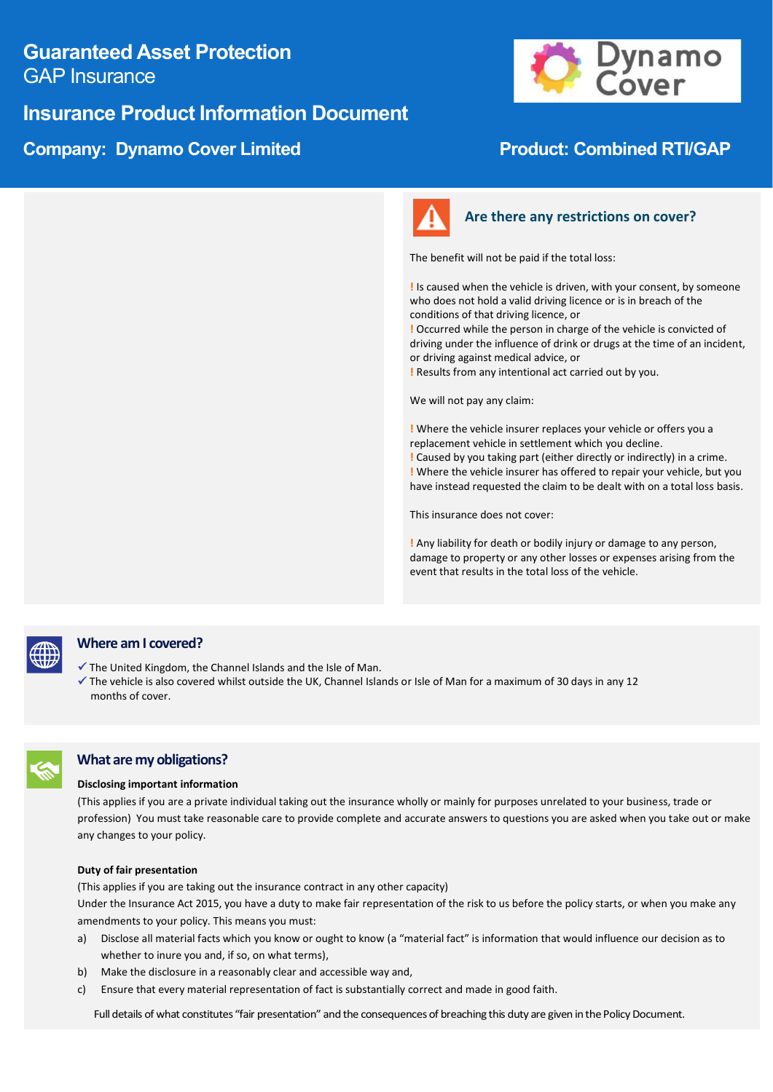# **Guaranteed Asset Protection** GAP Insurance

# **Insurance Product Information Document**

# **Company: Dynamo Cover Limited Company: Dynamo Cover Limited RTI/GAP**





## **Are there any restrictions on cover?**

The benefit will not be paid if the total loss:

**!** Is caused when the vehicle is driven, with your consent, by someone who does not hold a valid driving licence or is in breach of the conditions of that driving licence, or

**!** Occurred while the person in charge of the vehicle is convicted of driving under the influence of drink or drugs at the time of an incident, or driving against medical advice, or

**!** Results from any intentional act carried out by you.

We will not pay any claim:

**!** Where the vehicle insurer replaces your vehicle or offers you a replacement vehicle in settlement which you decline. **!** Caused by you taking part (either directly or indirectly) in a crime. **!** Where the vehicle insurer has offered to repair your vehicle, but you have instead requested the claim to be dealt with on a total loss basis.

This insurance does not cover:

**!** Any liability for death or bodily injury or damage to any person, damage to property or any other losses or expenses arising from the event that results in the total loss of the vehicle.



## **Where am I covered?**

- ✓ The United Kingdom, the Channel Islands and the Isle of Man.
- ✓ The vehicle is also covered whilst outside the UK, Channel Islands or Isle of Man for a maximum of 30 days in any 12 months of cover.

### **What are my obligations?**

#### **Disclosing important information**

(This applies if you are a private individual taking out the insurance wholly or mainly for purposes unrelated to your business, trade or profession) You must take reasonable care to provide complete and accurate answers to questions you are asked when you take out or make any changes to your policy.

#### **Duty of fair presentation**

(This applies if you are taking out the insurance contract in any other capacity)

Under the Insurance Act 2015, you have a duty to make fair representation of the risk to us before the policy starts, or when you make any amendments to your policy. This means you must:

- a) Disclose all material facts which you know or ought to know (a "material fact" is information that would influence our decision as to whether to inure you and, if so, on what terms),
- b) Make the disclosure in a reasonably clear and accessible way and,
- c) Ensure that every material representation of fact is substantially correct and made in good faith.

Full details of what constitutes "fair presentation" and the consequences of breaching this duty are given in the Policy Document.